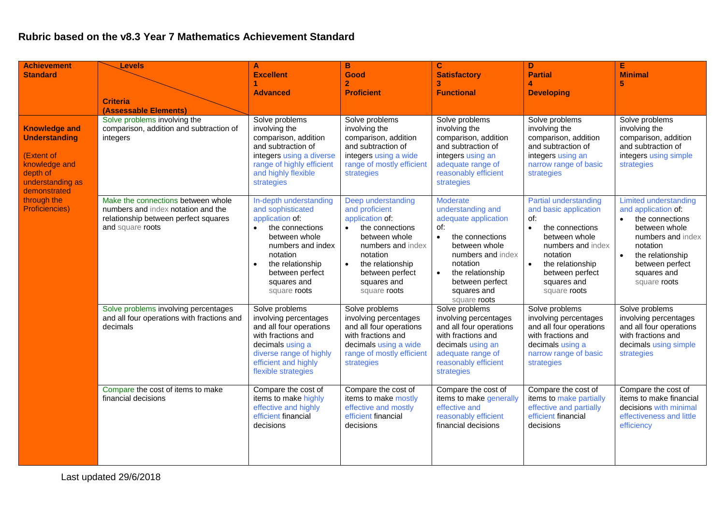## **Rubric based on the v8.3 Year 7 Mathematics Achievement Standard**

| <b>Achievement</b>                                                                                                                                                  | Levels                                                                                                                               | A                                                                                                                                                                                                                      | B                                                                                                                                                                                                               | $\mathbf{C}$                                                                                                                                                                                                                | D                                                                                                                                                                                                                          | Е                                                                                                                                                                                       |
|---------------------------------------------------------------------------------------------------------------------------------------------------------------------|--------------------------------------------------------------------------------------------------------------------------------------|------------------------------------------------------------------------------------------------------------------------------------------------------------------------------------------------------------------------|-----------------------------------------------------------------------------------------------------------------------------------------------------------------------------------------------------------------|-----------------------------------------------------------------------------------------------------------------------------------------------------------------------------------------------------------------------------|----------------------------------------------------------------------------------------------------------------------------------------------------------------------------------------------------------------------------|-----------------------------------------------------------------------------------------------------------------------------------------------------------------------------------------|
| <b>Standard</b>                                                                                                                                                     |                                                                                                                                      | <b>Excellent</b>                                                                                                                                                                                                       | Good<br>$\overline{2}$                                                                                                                                                                                          | <b>Satisfactory</b><br>3                                                                                                                                                                                                    | <b>Partial</b>                                                                                                                                                                                                             | <b>Minimal</b><br>5                                                                                                                                                                     |
|                                                                                                                                                                     |                                                                                                                                      | <b>Advanced</b>                                                                                                                                                                                                        | <b>Proficient</b>                                                                                                                                                                                               | <b>Functional</b>                                                                                                                                                                                                           | <b>Developing</b>                                                                                                                                                                                                          |                                                                                                                                                                                         |
|                                                                                                                                                                     | <b>Criteria</b>                                                                                                                      |                                                                                                                                                                                                                        |                                                                                                                                                                                                                 |                                                                                                                                                                                                                             |                                                                                                                                                                                                                            |                                                                                                                                                                                         |
|                                                                                                                                                                     | (Assessable Elements)                                                                                                                |                                                                                                                                                                                                                        |                                                                                                                                                                                                                 |                                                                                                                                                                                                                             |                                                                                                                                                                                                                            |                                                                                                                                                                                         |
| <b>Knowledge and</b><br><b>Understanding</b><br>(Extent of<br>knowledge and<br>depth of<br>understanding as<br>demonstrated<br>through the<br><b>Proficiencies)</b> | Solve problems involving the<br>comparison, addition and subtraction of<br>integers                                                  | Solve problems<br>involving the<br>comparison, addition<br>and subtraction of<br>integers using a diverse<br>range of highly efficient<br>and highly flexible<br>strategies                                            | Solve problems<br>involving the<br>comparison, addition<br>and subtraction of<br>integers using a wide<br>range of mostly efficient<br>strategies                                                               | Solve problems<br>involving the<br>comparison, addition<br>and subtraction of<br>integers using an<br>adequate range of<br>reasonably efficient<br>strategies                                                               | Solve problems<br>involving the<br>comparison, addition<br>and subtraction of<br>integers using an<br>narrow range of basic<br>strategies                                                                                  | Solve problems<br>involving the<br>comparison, addition<br>and subtraction of<br>integers using simple<br>strategies                                                                    |
|                                                                                                                                                                     | Make the connections between whole<br>numbers and index notation and the<br>relationship between perfect squares<br>and square roots | In-depth understanding<br>and sophisticated<br>application of:<br>the connections<br>$\bullet$<br>between whole<br>numbers and index<br>notation<br>the relationship<br>between perfect<br>squares and<br>square roots | Deep understanding<br>and proficient<br>application of:<br>the connections<br>between whole<br>numbers and index<br>notation<br>the relationship<br>$\bullet$<br>between perfect<br>squares and<br>square roots | <b>Moderate</b><br>understanding and<br>adequate application<br>of:<br>the connections<br>$\bullet$<br>between whole<br>numbers and index<br>notation<br>the relationship<br>between perfect<br>squares and<br>square roots | Partial understanding<br>and basic application<br>of:<br>the connections<br>$\bullet$<br>between whole<br>numbers and index<br>notation<br>the relationship<br>$\bullet$<br>between perfect<br>squares and<br>square roots | Limited understanding<br>and application of:<br>the connections<br>between whole<br>numbers and index<br>notation<br>the relationship<br>between perfect<br>squares and<br>square roots |
|                                                                                                                                                                     | Solve problems involving percentages<br>and all four operations with fractions and<br>decimals                                       | Solve problems<br>involving percentages<br>and all four operations<br>with fractions and<br>decimals using a<br>diverse range of highly<br>efficient and highly<br>flexible strategies                                 | Solve problems<br>involving percentages<br>and all four operations<br>with fractions and<br>decimals using a wide<br>range of mostly efficient<br>strategies                                                    | Solve problems<br>involving percentages<br>and all four operations<br>with fractions and<br>decimals using an<br>adequate range of<br>reasonably efficient<br>strategies                                                    | Solve problems<br>involving percentages<br>and all four operations<br>with fractions and<br>decimals using a<br>narrow range of basic<br>strategies                                                                        | Solve problems<br>involving percentages<br>and all four operations<br>with fractions and<br>decimals using simple<br>strategies                                                         |
|                                                                                                                                                                     | Compare the cost of items to make<br>financial decisions                                                                             | Compare the cost of<br>items to make highly<br>effective and highly<br>efficient financial<br>decisions                                                                                                                | Compare the cost of<br>items to make mostly<br>effective and mostly<br>efficient financial<br>decisions                                                                                                         | Compare the cost of<br>items to make generally<br>effective and<br>reasonably efficient<br>financial decisions                                                                                                              | Compare the cost of<br>items to make partially<br>effective and partially<br>efficient financial<br>decisions                                                                                                              | Compare the cost of<br>items to make financial<br>decisions with minimal<br>effectiveness and little<br>efficiency                                                                      |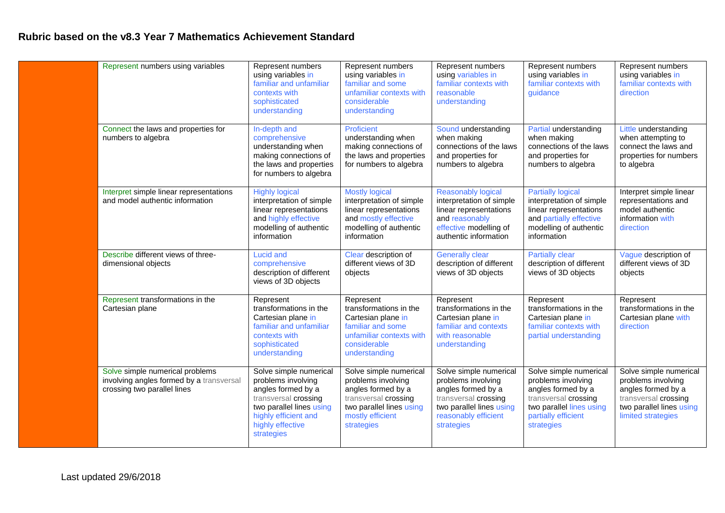## **Rubric based on the v8.3 Year 7 Mathematics Achievement Standard**

| Represent numbers using variables                                                                          | Represent numbers<br>using variables in<br>familiar and unfamiliar<br>contexts with<br>sophisticated<br>understanding                                                            | Represent numbers<br>using variables in<br>familiar and some<br>unfamiliar contexts with<br>considerable<br>understanding                                | Represent numbers<br>using variables in<br>familiar contexts with<br>reasonable<br>understanding                                                             | Represent numbers<br>using variables in<br>familiar contexts with<br>guidance                                                                               | Represent numbers<br>using variables in<br>familiar contexts with<br>direction                                                               |
|------------------------------------------------------------------------------------------------------------|----------------------------------------------------------------------------------------------------------------------------------------------------------------------------------|----------------------------------------------------------------------------------------------------------------------------------------------------------|--------------------------------------------------------------------------------------------------------------------------------------------------------------|-------------------------------------------------------------------------------------------------------------------------------------------------------------|----------------------------------------------------------------------------------------------------------------------------------------------|
| Connect the laws and properties for<br>numbers to algebra                                                  | In-depth and<br>comprehensive<br>understanding when<br>making connections of<br>the laws and properties<br>for numbers to algebra                                                | Proficient<br>understanding when<br>making connections of<br>the laws and properties<br>for numbers to algebra                                           | Sound understanding<br>when making<br>connections of the laws<br>and properties for<br>numbers to algebra                                                    | Partial understanding<br>when making<br>connections of the laws<br>and properties for<br>numbers to algebra                                                 | Little understanding<br>when attempting to<br>connect the laws and<br>properties for numbers<br>to algebra                                   |
| Interpret simple linear representations<br>and model authentic information                                 | <b>Highly logical</b><br>interpretation of simple<br>linear representations<br>and highly effective<br>modelling of authentic<br>information                                     | <b>Mostly logical</b><br>interpretation of simple<br>linear representations<br>and mostly effective<br>modelling of authentic<br>information             | <b>Reasonably logical</b><br>interpretation of simple<br>linear representations<br>and reasonably<br>effective modelling of<br>authentic information         | <b>Partially logical</b><br>interpretation of simple<br>linear representations<br>and partially effective<br>modelling of authentic<br>information          | Interpret simple linear<br>representations and<br>model authentic<br>information with<br>direction                                           |
| Describe different views of three-<br>dimensional objects                                                  | <b>Lucid and</b><br>comprehensive<br>description of different<br>views of 3D objects                                                                                             | Clear description of<br>different views of 3D<br>objects                                                                                                 | <b>Generally clear</b><br>description of different<br>views of 3D objects                                                                                    | <b>Partially clear</b><br>description of different<br>views of 3D objects                                                                                   | Vague description of<br>different views of 3D<br>objects                                                                                     |
| Represent transformations in the<br>Cartesian plane                                                        | Represent<br>transformations in the<br>Cartesian plane in<br>familiar and unfamiliar<br>contexts with<br>sophisticated<br>understanding                                          | Represent<br>transformations in the<br>Cartesian plane in<br>familiar and some<br>unfamiliar contexts with<br>considerable<br>understanding              | Represent<br>transformations in the<br>Cartesian plane in<br>familiar and contexts<br>with reasonable<br>understanding                                       | Represent<br>transformations in the<br>Cartesian plane in<br>familiar contexts with<br>partial understanding                                                | Represent<br>transformations in the<br>Cartesian plane with<br>direction                                                                     |
| Solve simple numerical problems<br>involving angles formed by a transversal<br>crossing two parallel lines | Solve simple numerical<br>problems involving<br>angles formed by a<br>transversal crossing<br>two parallel lines using<br>highly efficient and<br>highly effective<br>strategies | Solve simple numerical<br>problems involving<br>angles formed by a<br>transversal crossing<br>two parallel lines using<br>mostly efficient<br>strategies | Solve simple numerical<br>problems involving<br>angles formed by a<br>transversal crossing<br>two parallel lines using<br>reasonably efficient<br>strategies | Solve simple numerical<br>problems involving<br>angles formed by a<br>transversal crossing<br>two parallel lines using<br>partially efficient<br>strategies | Solve simple numerical<br>problems involving<br>angles formed by a<br>transversal crossing<br>two parallel lines using<br>limited strategies |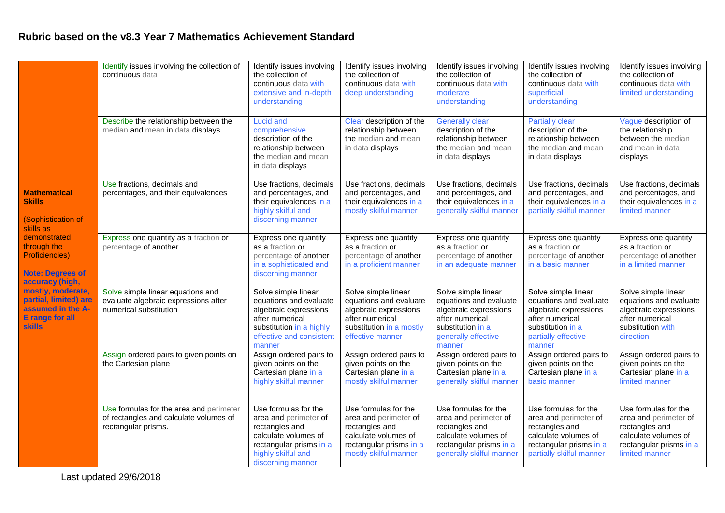## **Rubric based on the v8.3 Year 7 Mathematics Achievement Standard**

|                                                                                                     | Identify issues involving the collection of<br>continuous data                                           | Identify issues involving<br>the collection of<br>continuous data with<br>extensive and in-depth<br>understanding                                             | Identify issues involving<br>the collection of<br>continuous data with<br>deep understanding                                                | Identify issues involving<br>the collection of<br>continuous data with<br>moderate<br>understanding                                             | Identify issues involving<br>the collection of<br>continuous data with<br>superficial<br>understanding                                          | Identify issues involving<br>the collection of<br>continuous data with<br>limited understanding                                      |
|-----------------------------------------------------------------------------------------------------|----------------------------------------------------------------------------------------------------------|---------------------------------------------------------------------------------------------------------------------------------------------------------------|---------------------------------------------------------------------------------------------------------------------------------------------|-------------------------------------------------------------------------------------------------------------------------------------------------|-------------------------------------------------------------------------------------------------------------------------------------------------|--------------------------------------------------------------------------------------------------------------------------------------|
|                                                                                                     | Describe the relationship between the<br>median and mean in data displays                                | <b>Lucid and</b><br>comprehensive<br>description of the<br>relationship between<br>the median and mean<br>in data displays                                    | Clear description of the<br>relationship between<br>the median and mean<br>in data displays                                                 | <b>Generally clear</b><br>description of the<br>relationship between<br>the median and mean<br>in data displays                                 | <b>Partially clear</b><br>description of the<br>relationship between<br>the median and mean<br>in data displays                                 | Vague description of<br>the relationship<br>between the median<br>and mean in data<br>displays                                       |
| <b>Mathematical</b><br><b>Skills</b><br>(Sophistication of<br>skills as                             | Use fractions, decimals and<br>percentages, and their equivalences                                       | Use fractions, decimals<br>and percentages, and<br>their equivalences in a<br>highly skilful and<br>discerning manner                                         | Use fractions, decimals<br>and percentages, and<br>their equivalences in a<br>mostly skilful manner                                         | Use fractions, decimals<br>and percentages, and<br>their equivalences in a<br>generally skilful manner                                          | Use fractions, decimals<br>and percentages, and<br>their equivalences in a<br>partially skilful manner                                          | Use fractions, decimals<br>and percentages, and<br>their equivalences in a<br>limited manner                                         |
| demonstrated<br>through the<br><b>Proficiencies)</b><br><b>Note: Degrees of</b><br>accuracy (high,  | Express one quantity as a fraction or<br>percentage of another                                           | Express one quantity<br>as a fraction or<br>percentage of another<br>in a sophisticated and<br>discerning manner                                              | Express one quantity<br>as a fraction or<br>percentage of another<br>in a proficient manner                                                 | Express one quantity<br>as a fraction or<br>percentage of another<br>in an adequate manner                                                      | Express one quantity<br>as a fraction or<br>percentage of another<br>in a basic manner                                                          | Express one quantity<br>as a fraction or<br>percentage of another<br>in a limited manner                                             |
| mostly, moderate,<br>partial, limited) are<br>assumed in the A-<br><b>E</b> range for all<br>skills | Solve simple linear equations and<br>evaluate algebraic expressions after<br>numerical substitution      | Solve simple linear<br>equations and evaluate<br>algebraic expressions<br>after numerical<br>substitution in a highly<br>effective and consistent<br>manner   | Solve simple linear<br>equations and evaluate<br>algebraic expressions<br>after numerical<br>substitution in a mostly<br>effective manner   | Solve simple linear<br>equations and evaluate<br>algebraic expressions<br>after numerical<br>substitution in a<br>generally effective<br>manner | Solve simple linear<br>equations and evaluate<br>algebraic expressions<br>after numerical<br>substitution in a<br>partially effective<br>manner | Solve simple linear<br>equations and evaluate<br>algebraic expressions<br>after numerical<br>substitution with<br>direction          |
|                                                                                                     | Assign ordered pairs to given points on<br>the Cartesian plane                                           | Assign ordered pairs to<br>given points on the<br>Cartesian plane in a<br>highly skilful manner                                                               | Assign ordered pairs to<br>given points on the<br>Cartesian plane in a<br>mostly skilful manner                                             | Assign ordered pairs to<br>given points on the<br>Cartesian plane in a<br>generally skilful manner                                              | Assign ordered pairs to<br>given points on the<br>Cartesian plane in a<br>basic manner                                                          | Assign ordered pairs to<br>given points on the<br>Cartesian plane in a<br>limited manner                                             |
|                                                                                                     | Use formulas for the area and perimeter<br>of rectangles and calculate volumes of<br>rectangular prisms. | Use formulas for the<br>area and perimeter of<br>rectangles and<br>calculate volumes of<br>rectangular prisms in a<br>highly skilful and<br>discerning manner | Use formulas for the<br>area and perimeter of<br>rectangles and<br>calculate volumes of<br>rectangular prisms in a<br>mostly skilful manner | Use formulas for the<br>area and perimeter of<br>rectangles and<br>calculate volumes of<br>rectangular prisms in a<br>generally skilful manner  | Use formulas for the<br>area and perimeter of<br>rectangles and<br>calculate volumes of<br>rectangular prisms in a<br>partially skilful manner  | Use formulas for the<br>area and perimeter of<br>rectangles and<br>calculate volumes of<br>rectangular prisms in a<br>limited manner |